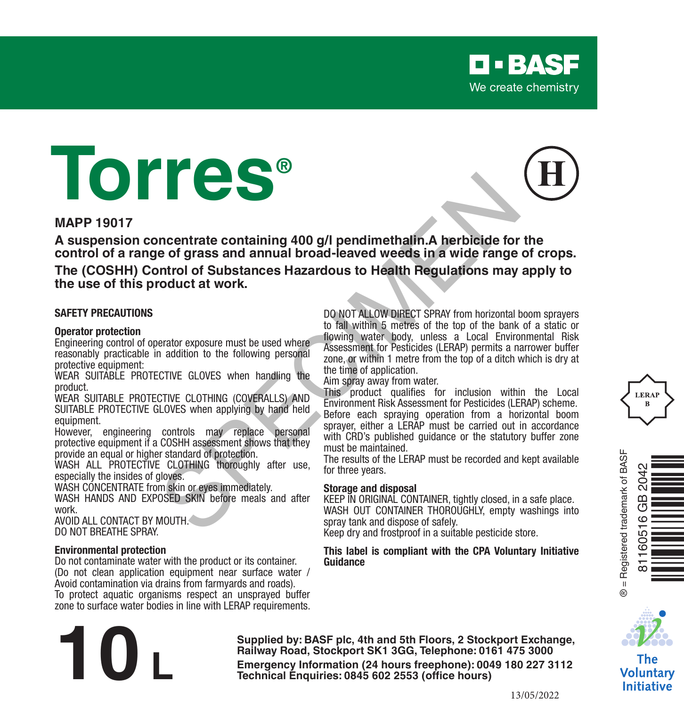

#### **MAPP 19017**

**A suspension concentrate containing 400 g/l pendimethalin.A herbicide for the control of a range of grass and annual broad-leaved weeds in a wide range of crops.**

**The (COSHH) Control of Substances Hazardous to Health Regulations may apply to the use of this product at work.**

#### **SAFETY PRECAUTIONS**

#### **Operator protection**

Engineering control of operator exposure must be used where reasonably practicable in addition to the following personal protective equipment:

WEAR SUITABLE PROTECTIVE GLOVES when handling the product.

WEAR SUITABLE PROTECTIVE CLOTHING (COVERALLS) AND SUITABLE PROTECTIVE GLOVES when applying by hand held equipment.

However, engineering controls may replace personal protective equipment if a COSHH assessment shows that they provide an equal or higher standard of protection.

WASH ALL PROTECTIVE CLOTHING thoroughly after use. especially the insides of gloves.

WASH CONCENTRATE from skin or eyes immediately. WASH HANDS AND EXPOSED SKIN before meals and after

work. AVOID ALL CONTACT BY MOUTH.

DO NOT BREATHE SPRAY.

#### **Environmental protection**

Do not contaminate water with the product or its container. (Do not clean application equipment near surface water / Avoid contamination via drains from farmyards and roads). To protect aquatic organisms respect an unsprayed buffer zone to surface water bodies in line with LERAP requirements.

DO NOT ALLOW DIRECT SPRAY from horizontal boom sprayers to fall within 5 metres of the top of the bank of a static or flowing water body, unless a Local Environmental Risk Assessment for Pesticides (LERAP) permits a narrower buffer zone, or within 1 metre from the top of a ditch which is dry at the time of application. **Example 19 and 19 and 19 and 19 and 19 and 19 and 19 and 19 and 19 and 19 and 19 and 19 and 19 and 19 and 19 and 19 and 19 and 19 and 19 and 19 and 19 and 19 and 19 and 19 and 19 and 19 and 19 and 19 and 19 and 19 and 19** 

**D-BASF** We create chemistry

Aim spray away from water.

This product qualifies for inclusion within the Local Environment Risk Assessment for Pesticides (LERAP) scheme. Before each spraying operation from a horizontal boom sprayer, either a LERAP must be carried out in accordance with CRD's published quidance or the statutory buffer zone must be maintained.

The results of the LERAP must be recorded and kept available for three years.

#### **Storage and disposal**

KEEP IN ORIGINAL CONTAINER, tightly closed, in a safe place. WASH OUT CONTAINER THOROUGHLY, empty washings into spray tank and dispose of safely.

Keep dry and frostproof in a suitable pesticide store.

#### **This label is compliant with the CPA Voluntary Initiative Guidance**







The Voluntarv **Initiative** 

**Supplied by: BASF plc, 4th and 5th Floors, 2 Stockport Exchange, Railway Road, Stockport SK1 3GG, Telephone: 0161 475 3000 Emergency Information (24 hours freephone: 0161 475 3000<br>
<b>Emergency Information (24 hours freephone: 0161 475 3000**<br> **Emergency Information (24 hours freephone: 0049 180 227 3112<br>
Technical Enquiries: 0845 602 2553 (offi** 

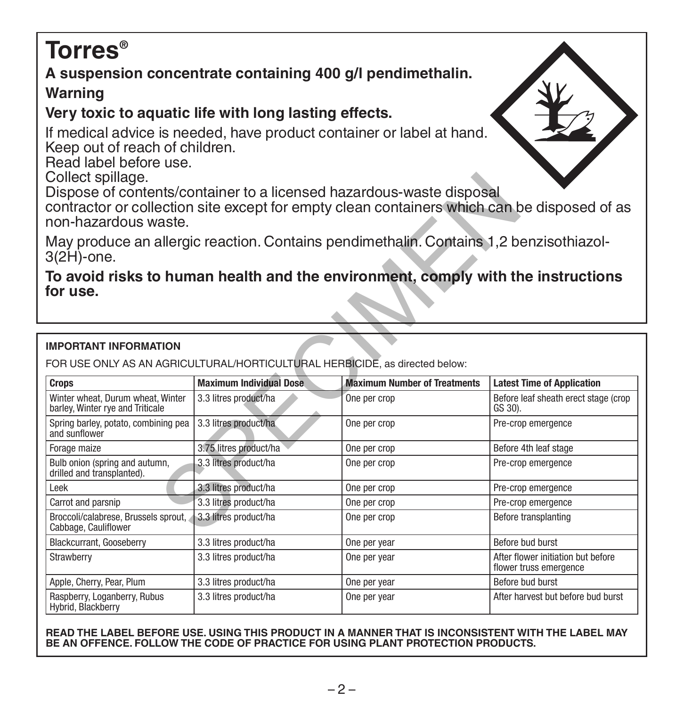# **Torres®**

# **A suspension concentrate containing 400 g/l pendimethalin.**

# **Warning**

# **Very toxic to aquatic life with long lasting effects.**

If medical advice is needed, have product container or label at hand. Keep out of reach of children.

Read label before use.

Collect spillage.

### **To avoid risks to human health and the environment, comply with the instructions for use.**

### **IMPORTANT INFORMATION**

| Collect spillage.<br>Dispose of contents/container to a licensed hazardous-waste disposal<br>contractor or collection site except for empty clean containers which can be disposed of as<br>non-hazardous waste. |                                                                                        |                                     |                                                              |  |  |
|------------------------------------------------------------------------------------------------------------------------------------------------------------------------------------------------------------------|----------------------------------------------------------------------------------------|-------------------------------------|--------------------------------------------------------------|--|--|
| $3(2H)$ -one.                                                                                                                                                                                                    | May produce an allergic reaction. Contains pendimethalin. Contains 1,2 benzisothiazol- |                                     |                                                              |  |  |
| To avoid risks to human health and the environment, comply with the instructions<br>for use.                                                                                                                     |                                                                                        |                                     |                                                              |  |  |
| <b>IMPORTANT INFORMATION</b>                                                                                                                                                                                     |                                                                                        |                                     |                                                              |  |  |
|                                                                                                                                                                                                                  | FOR USE ONLY AS AN AGRICULTURAL/HORTICULTURAL HERBICIDE, as directed below:            |                                     |                                                              |  |  |
| <b>Crops</b>                                                                                                                                                                                                     | <b>Maximum Individual Dose</b>                                                         | <b>Maximum Number of Treatments</b> | <b>Latest Time of Application</b>                            |  |  |
| Winter wheat, Durum wheat, Winter<br>barley, Winter rye and Triticale                                                                                                                                            | 3.3 litres product/ha                                                                  | One per crop                        | Before leaf sheath erect stage (crop<br>GS 30).              |  |  |
| Spring barley, potato, combining pea<br>and sunflower                                                                                                                                                            | 3.3 litres product/ha                                                                  | One per crop                        | Pre-crop emergence                                           |  |  |
| Forage maize                                                                                                                                                                                                     | 3.75 litres product/ha                                                                 | One per crop                        | Before 4th leaf stage                                        |  |  |
| Bulb onion (spring and autumn,<br>drilled and transplanted).                                                                                                                                                     | 3.3 litres product/ha                                                                  | One per crop                        | Pre-crop emergence                                           |  |  |
| Leek                                                                                                                                                                                                             | 3.3 litres product/ha                                                                  | One per crop                        | Pre-crop emergence                                           |  |  |
| Carrot and parsnip                                                                                                                                                                                               | 3.3 litres product/ha                                                                  | One per crop                        | Pre-crop emergence                                           |  |  |
| Broccoli/calabrese, Brussels sprout,<br>Cabbage, Cauliflower                                                                                                                                                     | 3.3 litres product/ha                                                                  | One per crop                        | Before transplanting                                         |  |  |
| Blackcurrant, Gooseberry                                                                                                                                                                                         | 3.3 litres product/ha                                                                  | One per year                        | Before bud burst                                             |  |  |
| Strawberry                                                                                                                                                                                                       | 3.3 litres product/ha                                                                  | One per year                        | After flower initiation but before<br>flower truss emergence |  |  |
| Apple, Cherry, Pear, Plum                                                                                                                                                                                        | 3.3 litres product/ha                                                                  | One per year                        | Before bud burst                                             |  |  |
| Raspberry, Loganberry, Rubus<br>Hybrid, Blackberry                                                                                                                                                               | 3.3 litres product/ha                                                                  | One per year                        | After harvest but before bud burst                           |  |  |

#### **READ THE LABEL BEFORE USE. USING THIS PRODUCT IN A MANNER THAT IS INCONSISTENT WITH THE LABEL MAY BE AN OFFENCE. FOLLOW THE CODE OF PRACTICE FOR USING PLANT PROTECTION PRODUCTS.**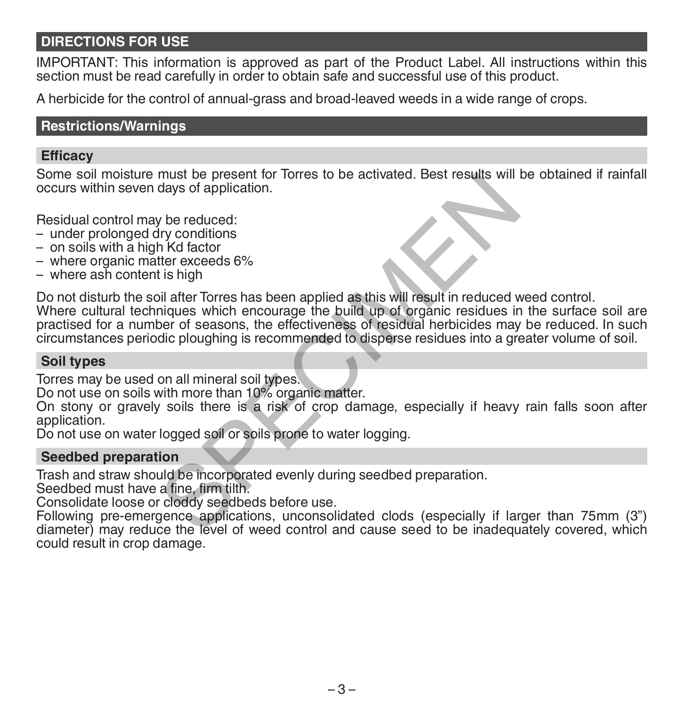### **DIRECTIONS FOR USE**

IMPORTANT: This information is approved as part of the Product Label. All instructions within this section must be read carefully in order to obtain safe and successful use of this product.

A herbicide for the control of annual-grass and broad-leaved weeds in a wide range of crops.

### **Restrictions/Warnings**

### **Efficacy**

Some soil moisture must be present for Torres to be activated. Best results will be obtained if rainfall occurs within seven days of application.

Residual control may be reduced:

- under prolonged dry conditions
- on soils with a high Kd factor
- where organic matter exceeds 6%
- where ash content is high

Do not disturb the soil after Torres has been applied as this will result in reduced weed control. Where cultural techniques which encourage the build up of organic residues in the surface soil are practised for a number of seasons, the effectiveness of residual herbicides may be reduced. In such circumstances periodic ploughing is recommended to disperse residues into a greater volume of soil. must be present for forres to be activated. Best results will<br>days of application.<br>The M dator<br>there exceeds 6%<br>tis high<br>ill after Torres has been applied as this will result in reduced v<br>inques which encourage the build u

### **Soil types**

Torres may be used on all mineral soil types.

Do not use on soils with more than 10% organic matter.

On stony or gravely soils there is a risk of crop damage, especially if heavy rain falls soon after application.

Do not use on water logged soil or soils prone to water logging.

### **Seedbed preparation**

Trash and straw should be incorporated evenly during seedbed preparation.

Seedbed must have a fine, firm tilth.

Consolidate loose or cloddy seedbeds before use.

Following pre-emergence applications, unconsolidated clods (especially if larger than 75mm (3") diameter) may reduce the level of weed control and cause seed to be inadequately covered, which could result in crop damage.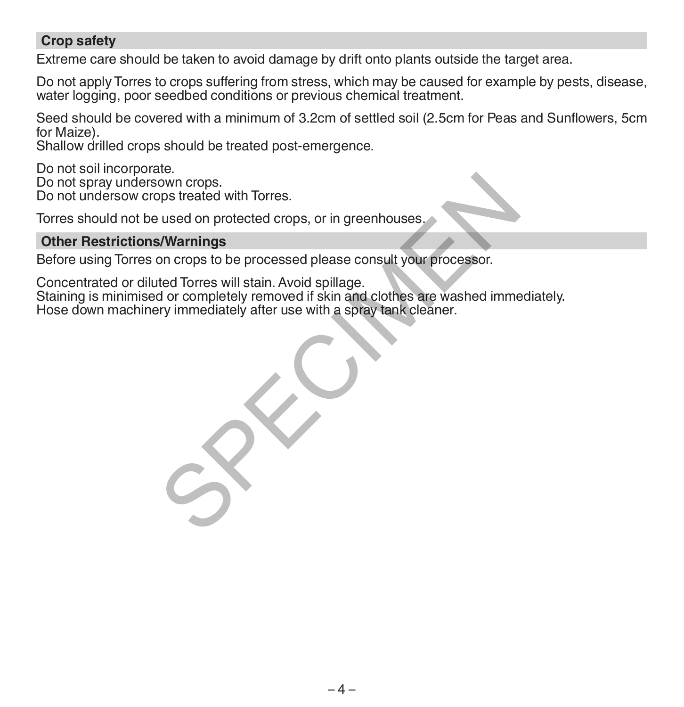### **Crop safety**

Extreme care should be taken to avoid damage by drift onto plants outside the target area.

Do not apply Torres to crops suffering from stress, which may be caused for example by pests, disease, water logging, poor seedbed conditions or previous chemical treatment.

Seed should be covered with a minimum of 3.2cm of settled soil (2.5cm for Peas and Sunflowers, 5cm for Maize).

Shallow drilled crops should be treated post-emergence.

Do not soil incorporate.

Do not spray undersown crops.

Do not undersow crops treated with Torres.

Torres should not be used on protected crops, or in greenhouses.

### **Other Restrictions/Warnings**

Before using Torres on crops to be processed please consult your processor.

Concentrated or diluted Torres will stain. Avoid spillage. Staining is minimised or completely removed if skin and clothes are washed immediately. own crops.<br>
hypoterated with Torres.<br>
s/Warnings<br>
s/Warnings<br>
on crops to be processed please consult your processor.<br>
ted Torres will stain. Avoid spillage.<br>
d or completely removed if skin and clothes are washed imme<br>
tr

Hose down machinery immediately after use with a spray tank cleaner.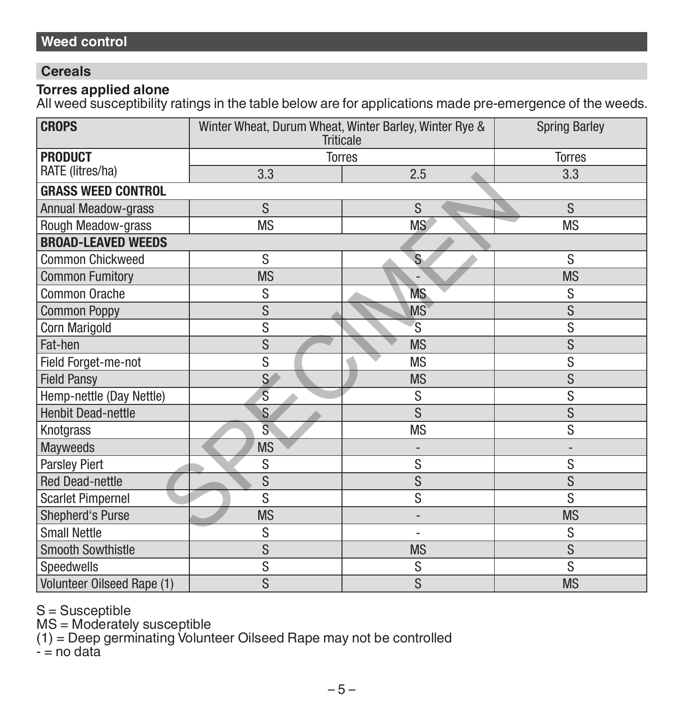### **Cereals**

### **Torres applied alone**

All weed susceptibility ratings in the table below are for applications made pre-emergence of the weeds.

| <b>CROPS</b>               | Winter Wheat, Durum Wheat, Winter Barley, Winter Rye &<br><b>Triticale</b> |                          | <b>Spring Barley</b>         |
|----------------------------|----------------------------------------------------------------------------|--------------------------|------------------------------|
| <b>PRODUCT</b>             |                                                                            | <b>Torres</b>            | <b>Torres</b>                |
| RATE (litres/ha)           | 3.3                                                                        | 2.5                      | 3.3                          |
| <b>GRASS WEED CONTROL</b>  |                                                                            |                          |                              |
| Annual Meadow-grass        | S                                                                          | S                        | S                            |
| Rough Meadow-grass         | <b>MS</b>                                                                  | <b>MS</b>                | <b>MS</b>                    |
| <b>BROAD-LEAVED WEEDS</b>  |                                                                            |                          |                              |
| <b>Common Chickweed</b>    | S                                                                          | S                        | S                            |
| <b>Common Fumitory</b>     | <b>MS</b>                                                                  |                          | <b>MS</b>                    |
| Common Orache              | S                                                                          | MS.                      | S                            |
| <b>Common Poppy</b>        | S                                                                          | <b>MS</b>                | S                            |
| <b>Corn Marigold</b>       | $\overline{s}$                                                             | S                        | S                            |
| Fat-hen                    | S                                                                          | <b>MS</b>                | S                            |
| Field Forget-me-not        | S                                                                          | <b>MS</b>                | S                            |
| <b>Field Pansy</b>         | $\overline{\mathsf{S}}$                                                    | <b>MS</b>                | S                            |
| Hemp-nettle (Day Nettle)   | $\overline{s}$                                                             | S                        | S                            |
| <b>Henbit Dead-nettle</b>  | S                                                                          | <sub>S</sub>             | S                            |
| Knotgrass                  | Ś                                                                          | <b>MS</b>                | S                            |
| <b>Mayweeds</b>            | <b>MS</b>                                                                  | -                        | $\qquad \qquad \blacksquare$ |
| Parsley Piert              | S                                                                          | S                        | S                            |
| <b>Red Dead-nettle</b>     | S                                                                          | S                        | S                            |
| <b>Scarlet Pimpernel</b>   | S                                                                          | $\overline{s}$           | S                            |
| <b>Shepherd's Purse</b>    | <b>MS</b>                                                                  | ٠                        | <b>MS</b>                    |
| <b>Small Nettle</b>        | S                                                                          | $\overline{\phantom{0}}$ | S                            |
| <b>Smooth Sowthistle</b>   | S                                                                          | <b>MS</b>                | S                            |
| Speedwells                 | S                                                                          | S                        | S                            |
| Volunteer Oilseed Rape (1) | S                                                                          | S                        | <b>MS</b>                    |

S = Susceptible

MS = Moderately susceptible

(1) = Deep germinating Volunteer Oilseed Rape may not be controlled

- = no data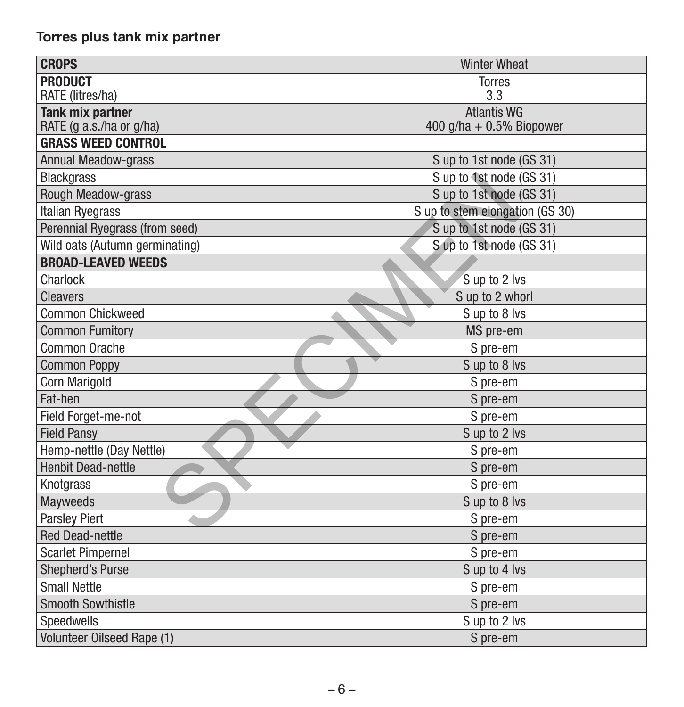# **Torres plus tank mix partner**

| <b>CROPS</b>                                          | <b>Winter Wheat</b>             |
|-------------------------------------------------------|---------------------------------|
| <b>PRODUCT</b>                                        | <b>Torres</b>                   |
| RATE (litres/ha)                                      | 3.3                             |
| <b>Tank mix partner</b>                               | <b>Atlantis WG</b>              |
| RATE (g a.s./ha or g/ha)<br><b>GRASS WEED CONTROL</b> | 400 g/ha + $0.5\%$ Biopower     |
|                                                       |                                 |
| <b>Annual Meadow-grass</b>                            | S up to 1st node (GS 31)        |
| <b>Blackgrass</b>                                     | S up to 1st node (GS 31)        |
| Rough Meadow-grass                                    | S up to 1st node (GS 31)        |
| Italian Ryegrass                                      | S up to stem elongation (GS 30) |
| Perennial Ryegrass (from seed)                        | S up to 1st node (GS 31)        |
| Wild oats (Autumn germinating)                        | S up to 1st node (GS 31)        |
| <b>BROAD-LEAVED WEEDS</b>                             |                                 |
| Charlock                                              | S up to 2 lvs                   |
| <b>Cleavers</b>                                       | S up to 2 whorl                 |
| <b>Common Chickweed</b>                               | S up to 8 lvs                   |
| <b>Common Fumitory</b>                                | MS pre-em                       |
| Common Orache                                         | S pre-em                        |
| <b>Common Poppy</b>                                   | S up to 8 lvs                   |
| Corn Marigold                                         | S pre-em                        |
| Fat-hen                                               | S pre-em                        |
| Field Forget-me-not                                   | S pre-em                        |
| <b>Field Pansy</b>                                    | S up to 2 lvs                   |
| Hemp-nettle (Day Nettle)                              | S pre-em                        |
| <b>Henbit Dead-nettle</b>                             | S pre-em                        |
| Knotgrass                                             | S pre-em                        |
| <b>Mayweeds</b>                                       | S up to 8 lvs                   |
| <b>Parsley Piert</b>                                  | S pre-em                        |
| <b>Red Dead-nettle</b>                                | S pre-em                        |
| <b>Scarlet Pimpernel</b>                              | S pre-em                        |
| Shepherd's Purse                                      | S up to 4 lvs                   |
| <b>Small Nettle</b>                                   | S pre-em                        |
| <b>Smooth Sowthistle</b>                              | S pre-em                        |
| Speedwells                                            | S up to 2 lvs                   |
| Volunteer Oilseed Rape (1)                            | S pre-em                        |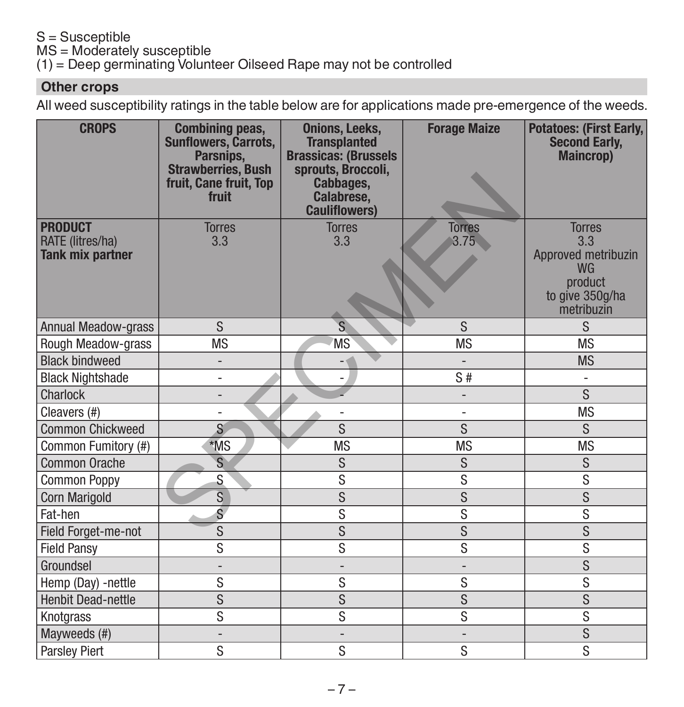### S = Susceptible

MS = Moderately susceptible

(1) = Deep germinating Volunteer Oilseed Rape may not be controlled

### **Other crops**

All weed susceptibility ratings in the table below are for applications made pre-emergence of the weeds.

| <b>CROPS</b>                       | <b>Combining peas,</b><br>Sunflowers, Carrots,<br>Parsnips,<br><b>Strawberries, Bush</b><br>fruit, Cane fruit, Top<br>fruit | <b>Onions, Leeks,</b><br><b>Transplanted</b><br><b>Brassicas: (Brussels)</b><br>sprouts, Broccoli,<br>Cabbages,<br>Calabrese,<br><b>Cauliflowers)</b> | <b>Forage Maize</b>      | <b>Potatoes: (First Early,</b><br><b>Second Early,</b><br><b>Maincrop)</b>   |
|------------------------------------|-----------------------------------------------------------------------------------------------------------------------------|-------------------------------------------------------------------------------------------------------------------------------------------------------|--------------------------|------------------------------------------------------------------------------|
| <b>PRODUCT</b><br>RATE (litres/ha) | <b>Torres</b><br>3.3                                                                                                        | <b>Torres</b><br>3.3                                                                                                                                  | <b>Torres</b><br>3.75    | <b>Torres</b><br>3.3                                                         |
| <b>Tank mix partner</b>            |                                                                                                                             |                                                                                                                                                       |                          | Approved metribuzin<br><b>WG</b><br>product<br>to give 350g/ha<br>metribuzin |
| <b>Annual Meadow-grass</b>         | S                                                                                                                           | S                                                                                                                                                     | <sub>S</sub>             | S                                                                            |
| Rough Meadow-grass                 | <b>MS</b>                                                                                                                   | <b>MS</b>                                                                                                                                             | <b>MS</b>                | <b>MS</b>                                                                    |
| <b>Black bindweed</b>              | $\overline{\phantom{0}}$                                                                                                    | $ \phi$                                                                                                                                               | $\overline{\phantom{a}}$ | <b>MS</b>                                                                    |
| <b>Black Nightshade</b>            | $\overline{\phantom{0}}$                                                                                                    | $\overline{\phantom{0}}$                                                                                                                              | S#                       |                                                                              |
| Charlock                           | $\overline{\phantom{0}}$                                                                                                    |                                                                                                                                                       |                          | $\overline{s}$                                                               |
| Cleavers (#)                       | $\overline{\phantom{0}}$                                                                                                    |                                                                                                                                                       | $\overline{\phantom{0}}$ | <b>MS</b>                                                                    |
| <b>Common Chickweed</b>            | S                                                                                                                           | S                                                                                                                                                     | S                        | S                                                                            |
| Common Fumitory (#)                | *MS                                                                                                                         | <b>MS</b>                                                                                                                                             | <b>MS</b>                | <b>MS</b>                                                                    |
| <b>Common Orache</b>               | S                                                                                                                           | S                                                                                                                                                     | S                        | S                                                                            |
| <b>Common Poppy</b>                | S                                                                                                                           | S                                                                                                                                                     | S                        | S                                                                            |
| Corn Marigold                      | $\overline{s}$                                                                                                              | $\overline{s}$                                                                                                                                        | $\overline{s}$           | $\overline{s}$                                                               |
| Fat-hen                            | $\overline{s}$                                                                                                              | S                                                                                                                                                     | S                        | $\overline{s}$                                                               |
| Field Forget-me-not                | $\overline{\mathbf{S}}$                                                                                                     | S                                                                                                                                                     | S                        | $\overline{s}$                                                               |
| <b>Field Pansy</b>                 | S                                                                                                                           | S                                                                                                                                                     | S                        | S                                                                            |
| Groundsel                          | $\overline{a}$                                                                                                              | $\overline{a}$                                                                                                                                        | $\overline{a}$           | $\overline{s}$                                                               |
| Hemp (Day) -nettle                 | S                                                                                                                           | S                                                                                                                                                     | S                        | S                                                                            |
| <b>Henbit Dead-nettle</b>          | $\overline{s}$                                                                                                              | $\overline{s}$                                                                                                                                        | $\overline{s}$           | $\overline{s}$                                                               |
| Knotgrass                          | S                                                                                                                           | S                                                                                                                                                     | S                        | S                                                                            |
| Mayweeds (#)                       | $\qquad \qquad -$                                                                                                           | $\overline{\phantom{a}}$                                                                                                                              | $\overline{\phantom{0}}$ | $\overline{s}$                                                               |
| Parsley Piert                      | S                                                                                                                           | S                                                                                                                                                     | S                        | $\overline{s}$                                                               |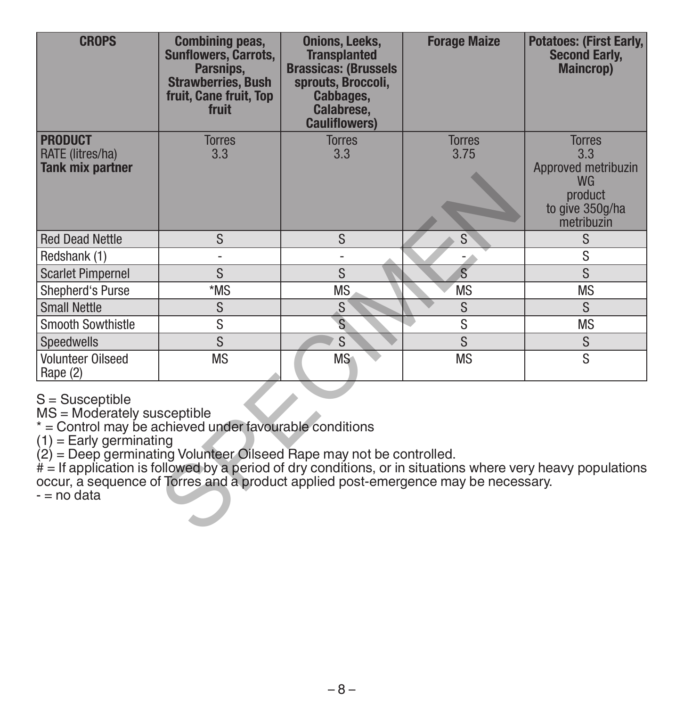| <b>CROPS</b>                                                                                                                                                                                                                                                                                                              | <b>Combining peas,</b><br><b>Sunflowers, Carrots,</b><br>Parsnips,<br><b>Strawberries, Bush</b><br>fruit, Cane fruit, Top<br>fruit | <b>Onions, Leeks,</b><br><b>Transplanted</b><br><b>Brassicas: (Brussels</b><br>sprouts, Broccoli,<br>Cabbages,<br>Calabrese,<br><b>Cauliflowers)</b> | <b>Forage Maize</b>   | <b>Potatoes: (First Early,</b><br><b>Second Early.</b><br><b>Maincrop</b> )                                   |
|---------------------------------------------------------------------------------------------------------------------------------------------------------------------------------------------------------------------------------------------------------------------------------------------------------------------------|------------------------------------------------------------------------------------------------------------------------------------|------------------------------------------------------------------------------------------------------------------------------------------------------|-----------------------|---------------------------------------------------------------------------------------------------------------|
| <b>PRODUCT</b><br>RATE (litres/ha)<br><b>Tank mix partner</b>                                                                                                                                                                                                                                                             | <b>Torres</b><br>3.3                                                                                                               | <b>Torres</b><br>3.3                                                                                                                                 | <b>Torres</b><br>3.75 | <b>Torres</b><br>3.3<br>Approved metribuzin<br><b>WG</b><br>product<br>to give 350g/ha<br>metribuzin          |
| <b>Red Dead Nettle</b>                                                                                                                                                                                                                                                                                                    | S                                                                                                                                  | S                                                                                                                                                    | S                     | S                                                                                                             |
| Redshank (1)                                                                                                                                                                                                                                                                                                              | $\overline{\phantom{0}}$                                                                                                           |                                                                                                                                                      |                       | S                                                                                                             |
| <b>Scarlet Pimpernel</b>                                                                                                                                                                                                                                                                                                  | S                                                                                                                                  | <sub>S</sub>                                                                                                                                         | $\overline{s}$        | <sub>S</sub>                                                                                                  |
| Shepherd's Purse                                                                                                                                                                                                                                                                                                          | *MS                                                                                                                                | <b>MS</b>                                                                                                                                            | <b>MS</b>             | <b>MS</b>                                                                                                     |
| <b>Small Nettle</b>                                                                                                                                                                                                                                                                                                       | S                                                                                                                                  | S                                                                                                                                                    | S                     | S.                                                                                                            |
| <b>Smooth Sowthistle</b>                                                                                                                                                                                                                                                                                                  | S                                                                                                                                  | <sub>S</sub>                                                                                                                                         | S                     | <b>MS</b>                                                                                                     |
| <b>Speedwells</b>                                                                                                                                                                                                                                                                                                         | S                                                                                                                                  | S                                                                                                                                                    | S                     | S                                                                                                             |
| <b>Volunteer Oilseed</b><br>Rape (2)                                                                                                                                                                                                                                                                                      | <b>MS</b>                                                                                                                          | <b>MS</b>                                                                                                                                            | <b>MS</b>             | S                                                                                                             |
| $S =$ Susceptible<br>MS = Moderately susceptible<br>* = Control may be achieved under favourable conditions<br>$(1)$ = Early germinating<br>$(2)$ = Deep germinating Volunteer Oilseed Rape may not be controlled.<br>occur, a sequence of Torres and a product applied post-emergence may be necessary.<br>$-$ = no data |                                                                                                                                    |                                                                                                                                                      |                       | $# =$ If application is followed by a period of dry conditions, or in situations where very heavy populations |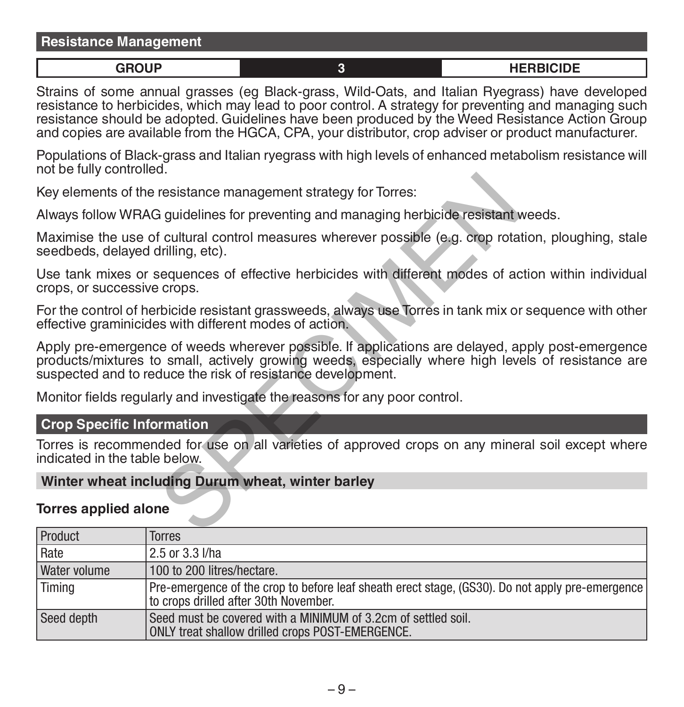### **Resistance Management**

**GROUP 3 HERBICIDE**

Strains of some annual grasses (eg Black-grass, Wild-Oats, and Italian Ryegrass) have developed resistance to herbicides, which may lead to poor control. A strategy for preventing and managing such resistance should be adopted. Guidelines have been produced by the Weed Resistance Action Group and copies are available from the HGCA, CPA, your distributor, crop adviser or product manufacturer.

Populations of Black-grass and Italian ryegrass with high levels of enhanced metabolism resistance will not be fully controlled.

Key elements of the resistance management strategy for Torres:

Always follow WRAG guidelines for preventing and managing herbicide resistant weeds.

Maximise the use of cultural control measures wherever possible (e.g. crop rotation, ploughing, stale seedbeds, delayed drilling, etc).

Use tank mixes or sequences of effective herbicides with different modes of action within individual crops, or successive crops.

For the control of herbicide resistant grassweeds, always use Torres in tank mix or sequence with other effective graminicides with different modes of action.

Apply pre-emergence of weeds wherever possible. If applications are delayed, apply post-emergence products/mixtures to small, actively growing weeds, especially where high levels of resistance are suspected and to reduce the risk of resistance development. Tresistance management strategy for Torres:<br>
Siguidelines for preventing and managing herbicide resistant of cultural control measures wherever possible (e.g. crop rota<br>
Siguidelines of effective herbicides with different

Monitor fields regularly and investigate the reasons for any poor control.

### **Crop Specific Information**

Torres is recommended for use on all varieties of approved crops on any mineral soil except where indicated in the table below.

### **Winter wheat including Durum wheat, winter barley**

### **Torres applied alone**

| <b>Product</b> | Torres                                                                                                                                   |
|----------------|------------------------------------------------------------------------------------------------------------------------------------------|
| Rate           | 2.5 or 3.3 l/ha                                                                                                                          |
| Water volume   | 100 to 200 litres/hectare.                                                                                                               |
| Timing         | Pre-emergence of the crop to before leaf sheath erect stage, (GS30). Do not apply pre-emergence<br>to crops drilled after 30th November. |
| Seed depth     | Seed must be covered with a MINIMUM of 3.2cm of settled soil.<br>ONLY treat shallow drilled crops POST-EMERGENCE.                        |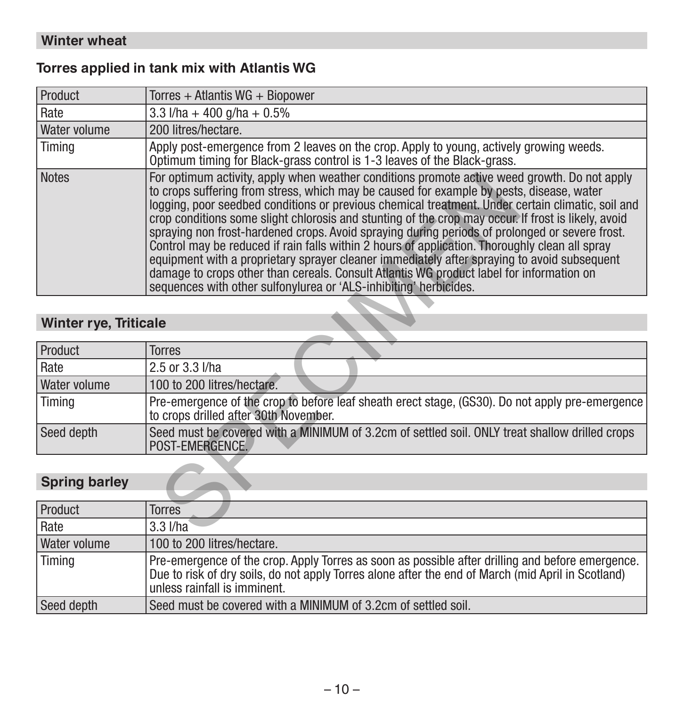### **Torres applied in tank mix with Atlantis WG**

| Product                      | Torres + Atlantis WG + Biopower                                                                                                                                                                                                                                                                                                                                                                                                                                                                                                                                                                                                                                                                                                                                                                                                                                          |
|------------------------------|--------------------------------------------------------------------------------------------------------------------------------------------------------------------------------------------------------------------------------------------------------------------------------------------------------------------------------------------------------------------------------------------------------------------------------------------------------------------------------------------------------------------------------------------------------------------------------------------------------------------------------------------------------------------------------------------------------------------------------------------------------------------------------------------------------------------------------------------------------------------------|
| Rate                         | 3.3 $I/ha + 400$ g/ha + 0.5%                                                                                                                                                                                                                                                                                                                                                                                                                                                                                                                                                                                                                                                                                                                                                                                                                                             |
| Water volume                 | 200 litres/hectare.                                                                                                                                                                                                                                                                                                                                                                                                                                                                                                                                                                                                                                                                                                                                                                                                                                                      |
| Timing                       | Apply post-emergence from 2 leaves on the crop. Apply to young, actively growing weeds.<br>Optimum timing for Black-grass control is 1-3 leaves of the Black-grass.                                                                                                                                                                                                                                                                                                                                                                                                                                                                                                                                                                                                                                                                                                      |
| <b>Notes</b>                 | For optimum activity, apply when weather conditions promote active weed growth. Do not apply<br>to crops suffering from stress, which may be caused for example by pests, disease, water<br>logging, poor seedbed conditions or previous chemical treatment. Under certain climatic, soil and<br>crop conditions some slight chlorosis and stunting of the crop may occur. If frost is likely, avoid<br>spraying non frost-hardened crops. Avoid spraying during periods of prolonged or severe frost.<br>Control may be reduced if rain falls within 2 hours of application. Thoroughly clean all spray<br>equipment with a proprietary sprayer cleaner immediately after spraying to avoid subsequent<br>damage to crops other than cereals. Consult Atlantis WG product label for information on<br>sequences with other sulfonylurea or 'ALS-inhibiting' herbicides. |
|                              |                                                                                                                                                                                                                                                                                                                                                                                                                                                                                                                                                                                                                                                                                                                                                                                                                                                                          |
| <b>Winter rye, Triticale</b> |                                                                                                                                                                                                                                                                                                                                                                                                                                                                                                                                                                                                                                                                                                                                                                                                                                                                          |
| Product                      | <b>Torres</b>                                                                                                                                                                                                                                                                                                                                                                                                                                                                                                                                                                                                                                                                                                                                                                                                                                                            |
| Rate                         | 2.5 or 3.3 l/ha                                                                                                                                                                                                                                                                                                                                                                                                                                                                                                                                                                                                                                                                                                                                                                                                                                                          |
| Water volume                 | 100 to 200 litres/hectare.                                                                                                                                                                                                                                                                                                                                                                                                                                                                                                                                                                                                                                                                                                                                                                                                                                               |
| Timing                       | Pre-emergence of the crop to before leaf sheath erect stage, (GS30). Do not apply pre-emergence<br>to crops drilled after 30th November.                                                                                                                                                                                                                                                                                                                                                                                                                                                                                                                                                                                                                                                                                                                                 |
| Seed depth                   | Seed must be covered with a MINIMUM of 3.2cm of settled soil. ONLY treat shallow drilled crops<br>POST-EMERGENCE.                                                                                                                                                                                                                                                                                                                                                                                                                                                                                                                                                                                                                                                                                                                                                        |
|                              |                                                                                                                                                                                                                                                                                                                                                                                                                                                                                                                                                                                                                                                                                                                                                                                                                                                                          |
| <b>Spring barley</b>         |                                                                                                                                                                                                                                                                                                                                                                                                                                                                                                                                                                                                                                                                                                                                                                                                                                                                          |
| Product                      | <b>Torres</b>                                                                                                                                                                                                                                                                                                                                                                                                                                                                                                                                                                                                                                                                                                                                                                                                                                                            |
| Rate                         | $3.3$ $I/ha$                                                                                                                                                                                                                                                                                                                                                                                                                                                                                                                                                                                                                                                                                                                                                                                                                                                             |

### **Winter rye, Triticale**

| Product             | Torres                                                                                                                                   |
|---------------------|------------------------------------------------------------------------------------------------------------------------------------------|
| Rate                | 2.5 or 3.3 l/ha                                                                                                                          |
| <b>Water volume</b> | 100 to 200 litres/hectare.                                                                                                               |
| Timing              | Pre-emergence of the crop to before leaf sheath erect stage, (GS30). Do not apply pre-emergence<br>to crops drilled after 30th November. |
| Seed depth          | Seed must be covered with a MINIMUM of 3.2cm of settled soil. ONLY treat shallow drilled crops<br>POST-EMERGENCE.                        |

# **Spring barley**

| Product             | Torres                                                                                                                                                                                                                                 |
|---------------------|----------------------------------------------------------------------------------------------------------------------------------------------------------------------------------------------------------------------------------------|
| Rate                | $3.3$ $I/ha$                                                                                                                                                                                                                           |
| <b>Water volume</b> | 100 to 200 litres/hectare.                                                                                                                                                                                                             |
| Timina              | Pre-emergence of the crop. Apply Torres as soon as possible after drilling and before emergence.<br>Due to risk of dry soils, do not apply Torres alone after the end of March (mid April in Scotland)<br>unless rainfall is imminent. |
| Seed depth          | Seed must be covered with a MINIMUM of 3.2cm of settled soil.                                                                                                                                                                          |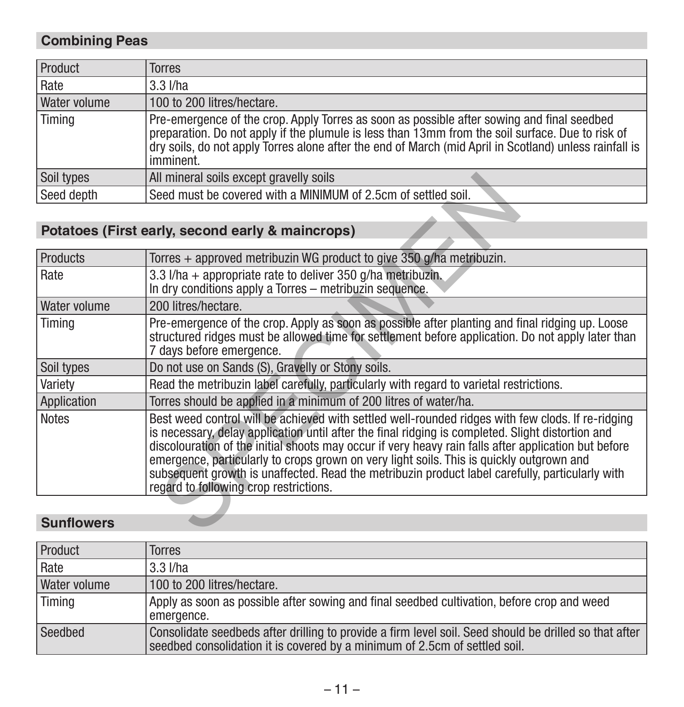# **Combining Peas**

| Product             | Torres                                                                                                                                                                                                                                                                                                                |
|---------------------|-----------------------------------------------------------------------------------------------------------------------------------------------------------------------------------------------------------------------------------------------------------------------------------------------------------------------|
| Rate                | $3.3$ $I/ha$                                                                                                                                                                                                                                                                                                          |
| <b>Water volume</b> | 100 to 200 litres/hectare.                                                                                                                                                                                                                                                                                            |
| Timing              | Pre-emergence of the crop. Apply Torres as soon as possible after sowing and final seedbed<br>preparation. Do not apply if the plumule is less than 13mm from the soil surface. Due to risk of<br>dry soils, do not apply Torres alone after the end of March (mid April in Scotland) unless rainfall is<br>imminent. |
| Soil types          | All mineral soils except gravelly soils                                                                                                                                                                                                                                                                               |
| Seed depth          | Seed must be covered with a MINIMUM of 2.5cm of settled soil.                                                                                                                                                                                                                                                         |

# **Potatoes (First early, second early & maincrops)**

| Soil types        | All mineral soils except gravelly soils                                                                                                                                                                                                                                                                                                                                                                                                                                                                                                                 |
|-------------------|---------------------------------------------------------------------------------------------------------------------------------------------------------------------------------------------------------------------------------------------------------------------------------------------------------------------------------------------------------------------------------------------------------------------------------------------------------------------------------------------------------------------------------------------------------|
| Seed depth        | Seed must be covered with a MINIMUM of 2.5cm of settled soil.                                                                                                                                                                                                                                                                                                                                                                                                                                                                                           |
|                   |                                                                                                                                                                                                                                                                                                                                                                                                                                                                                                                                                         |
|                   | Potatoes (First early, second early & maincrops)                                                                                                                                                                                                                                                                                                                                                                                                                                                                                                        |
|                   |                                                                                                                                                                                                                                                                                                                                                                                                                                                                                                                                                         |
| <b>Products</b>   | Torres + approved metribuzin WG product to give 350 g/ha metribuzin.                                                                                                                                                                                                                                                                                                                                                                                                                                                                                    |
| Rate              | 3.3 $1/ha +$ appropriate rate to deliver 350 $q/ha$ metribuzin.<br>In dry conditions apply a Torres - metribuzin sequence.                                                                                                                                                                                                                                                                                                                                                                                                                              |
| Water volume      | 200 litres/hectare.                                                                                                                                                                                                                                                                                                                                                                                                                                                                                                                                     |
| Timing            | Pre-emergence of the crop. Apply as soon as possible after planting and final ridging up. Loose<br>structured ridges must be allowed time for settlement before application. Do not apply later than<br>7 days before emergence.                                                                                                                                                                                                                                                                                                                        |
| Soil types        | Do not use on Sands (S), Gravelly or Stony soils.                                                                                                                                                                                                                                                                                                                                                                                                                                                                                                       |
| Variety           | Read the metribuzin label carefully, particularly with regard to varietal restrictions.                                                                                                                                                                                                                                                                                                                                                                                                                                                                 |
| Application       | Torres should be applied in a minimum of 200 litres of water/ha.                                                                                                                                                                                                                                                                                                                                                                                                                                                                                        |
| <b>Notes</b>      | Best weed control will be achieved with settled well-rounded ridges with few clods. If re-ridging<br>is necessary, delay application until after the final ridging is completed. Slight distortion and<br>discolouration of the initial shoots may occur if very heavy rain falls after application but before<br>emergence, particularly to crops grown on very light soils. This is quickly outgrown and<br>subsequent growth is unaffected. Read the metribuzin product label carefully, particularly with<br>regard to following crop restrictions. |
|                   |                                                                                                                                                                                                                                                                                                                                                                                                                                                                                                                                                         |
| <b>Sunflowers</b> |                                                                                                                                                                                                                                                                                                                                                                                                                                                                                                                                                         |

### **Sunflowers**

| Product             | Torres                                                                                                                                                                               |
|---------------------|--------------------------------------------------------------------------------------------------------------------------------------------------------------------------------------|
| l Rate              | $3.3$ I/ha                                                                                                                                                                           |
| <b>Water volume</b> | 100 to 200 litres/hectare.                                                                                                                                                           |
| Timing              | Apply as soon as possible after sowing and final seedbed cultivation, before crop and weed<br>emergence.                                                                             |
| Seedbed             | Consolidate seedbeds after drilling to provide a firm level soil. Seed should be drilled so that after<br>seedbed consolidation it is covered by a minimum of 2.5cm of settled soil. |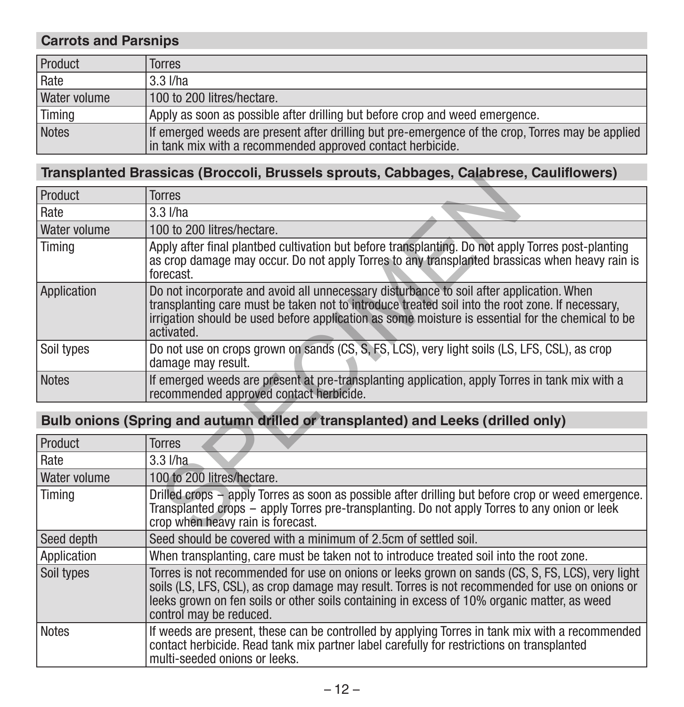### **Carrots and Parsnips**

| Product             | Torres                                                                                                                                                         |  |
|---------------------|----------------------------------------------------------------------------------------------------------------------------------------------------------------|--|
| Rate                | 3.3 I/ha                                                                                                                                                       |  |
| <b>Water volume</b> | 100 to 200 litres/hectare.                                                                                                                                     |  |
| Timing              | Apply as soon as possible after drilling but before crop and weed emergence.                                                                                   |  |
| <b>Notes</b>        | If emerged weeds are present after drilling but pre-emergence of the crop, Torres may be applied<br>in tank mix with a recommended approved contact herbicide. |  |

### **Transplanted Brassicas (Broccoli, Brussels sprouts, Cabbages, Calabrese, Cauliflowers)**

| <u> Irailspianieu Brassicas (Broccoli, Brussels Sprouts, Cabbages, Calabrese, Caulinowers)</u> |                                                                                                                                                                                                                                                                                                                 |  |  |
|------------------------------------------------------------------------------------------------|-----------------------------------------------------------------------------------------------------------------------------------------------------------------------------------------------------------------------------------------------------------------------------------------------------------------|--|--|
| Product                                                                                        | <b>Torres</b>                                                                                                                                                                                                                                                                                                   |  |  |
| Rate                                                                                           | $3.3$ $I/ha$                                                                                                                                                                                                                                                                                                    |  |  |
| Water volume                                                                                   | 100 to 200 litres/hectare.                                                                                                                                                                                                                                                                                      |  |  |
| Timing                                                                                         | Apply after final plantbed cultivation but before transplanting. Do not apply Torres post-planting<br>as crop damage may occur. Do not apply Torres to any transplanted brassicas when heavy rain is<br>forecast.                                                                                               |  |  |
| Application                                                                                    | Do not incorporate and avoid all unnecessary disturbance to soil after application. When<br>transplanting care must be taken not to introduce treated soil into the root zone. If necessary,<br>irrigation should be used before application as some moisture is essential for the chemical to be<br>activated. |  |  |
| Soil types                                                                                     | Do not use on crops grown on sands (CS, S, FS, LCS), very light soils (LS, LFS, CSL), as crop<br>damage may result.                                                                                                                                                                                             |  |  |
| <b>Notes</b>                                                                                   | If emerged weeds are present at pre-transplanting application, apply Torres in tank mix with a<br>recommended approved contact herbicide.                                                                                                                                                                       |  |  |
|                                                                                                |                                                                                                                                                                                                                                                                                                                 |  |  |
|                                                                                                | Bulb onions (Spring and autumn drilled or transplanted) and Leeks (drilled only)                                                                                                                                                                                                                                |  |  |
| Product                                                                                        | <b>Torres</b>                                                                                                                                                                                                                                                                                                   |  |  |
| Rate                                                                                           | $3.3$ $I/ha$                                                                                                                                                                                                                                                                                                    |  |  |
| Water volume                                                                                   | 100 to 200 litres/hectare.                                                                                                                                                                                                                                                                                      |  |  |
| Timing                                                                                         | Drilled crops – apply Torres as soon as possible after drilling but before crop or weed emergence.<br>Transplanted crops – apply Torres pre-transplanting. Do not apply Torres to any onion or leek<br>crop when heavy rain is forecast.                                                                        |  |  |
| .                                                                                              |                                                                                                                                                                                                                                                                                                                 |  |  |

# **Bulb onions (Spring and autumn drilled or transplanted) and Leeks (drilled only)**

| Product      | Torres                                                                                                                                                                                                                                                                                                                        |  |  |  |
|--------------|-------------------------------------------------------------------------------------------------------------------------------------------------------------------------------------------------------------------------------------------------------------------------------------------------------------------------------|--|--|--|
| Rate         | $3.3$ $I/ha$                                                                                                                                                                                                                                                                                                                  |  |  |  |
| Water volume | 100 to 200 litres/hectare.                                                                                                                                                                                                                                                                                                    |  |  |  |
| Timing       | Drilled crops – apply Torres as soon as possible after drilling but before crop or weed emergence.<br>Transplanted crops - apply Torres pre-transplanting. Do not apply Torres to any onion or leek<br>crop when heavy rain is forecast.                                                                                      |  |  |  |
| Seed depth   | Seed should be covered with a minimum of 2.5cm of settled soil.                                                                                                                                                                                                                                                               |  |  |  |
| Application  | When transplanting, care must be taken not to introduce treated soil into the root zone.                                                                                                                                                                                                                                      |  |  |  |
| Soil types   | Torres is not recommended for use on onions or leeks grown on sands (CS, S, FS, LCS), very light<br>soils (LS, LFS, CSL), as crop damage may result. Torres is not recommended for use on onions or<br>leeks grown on fen soils or other soils containing in excess of 10% organic matter, as weed<br>control may be reduced. |  |  |  |
| <b>Notes</b> | If weeds are present, these can be controlled by applying Torres in tank mix with a recommended<br>contact herbicide. Read tank mix partner label carefully for restrictions on transplanted<br>multi-seeded onions or leeks.                                                                                                 |  |  |  |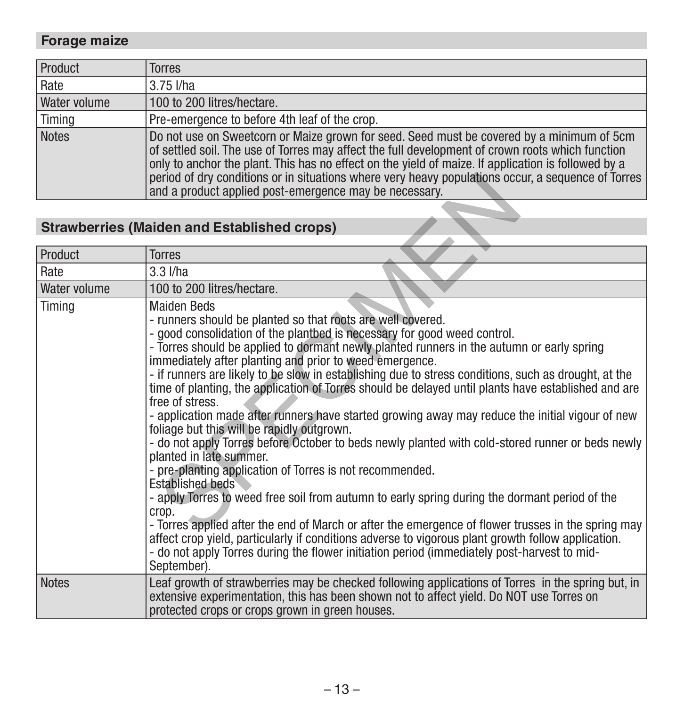# **Forage maize**

| Product      | <b>Torres</b>                                                                                                                                                                                                                                                                                                                                                                                                                                                        |
|--------------|----------------------------------------------------------------------------------------------------------------------------------------------------------------------------------------------------------------------------------------------------------------------------------------------------------------------------------------------------------------------------------------------------------------------------------------------------------------------|
| Rate         | $3.75$ I/ha                                                                                                                                                                                                                                                                                                                                                                                                                                                          |
| Water volume | 100 to 200 litres/hectare.                                                                                                                                                                                                                                                                                                                                                                                                                                           |
| Timing       | Pre-emergence to before 4th leaf of the crop.                                                                                                                                                                                                                                                                                                                                                                                                                        |
| Notes        | Do not use on Sweetcorn or Maize grown for seed. Seed must be covered by a minimum of 5cm<br>of settled soil. The use of Torres may affect the full development of crown roots which function<br>only to anchor the plant. This has no effect on the yield of maize. If application is followed by a<br>period of dry conditions or in situations where very heavy populations occur, a sequence of Torres<br>and a product applied post-emergence may be necessary. |

# **Strawberries (Maiden and Established crops)**

| <b>Strawberries (Maiden and Established crops)</b><br>Product<br>Torres<br>Rate<br>$3.3$ $I/ha$<br>100 to 200 litres/hectare.<br>Water volume<br>Timing<br>Maiden Beds<br>- runners should be planted so that roots are well covered.<br>- good consolidation of the plantbed is necessary for good weed control.<br>- Torres should be applied to dormant newly planted runners in the autumn or early spring<br>immediately after planting and prior to weed emergence.<br>- if runners are likely to be slow in establishing due to stress conditions, such as drought, at the<br>time of planting, the application of Torres should be delayed until plants have established and are<br>free of stress.<br>- application made after runners have started growing away may reduce the initial vigour of new<br>foliage but this will be rapidly outgrown.<br>- do not apply Torres before October to beds newly planted with cold-stored runner or beds newly<br>planted in late summer.<br>- pre-planting application of Torres is not recommended.<br><b>Established beds</b><br>- apply Torres to weed free soil from autumn to early spring during the dormant period of the<br>crop.<br>- Torres applied after the end of March or after the emergence of flower trusses in the spring may<br>affect crop yield, particularly if conditions adverse to vigorous plant growth follow application.<br>- do not apply Torres during the flower initiation period (immediately post-harvest to mid-<br>September).<br>Notes<br>Leaf growth of strawberries may be checked following applications of Torres in the spring but, in<br>extensive experimentation, this has been shown not to affect yield. Do NOT use Torres on<br>protected crops or crops grown in green houses. | period of dry conditions or in situations where very heavy populations occur, a sequence of Torres |  |
|-------------------------------------------------------------------------------------------------------------------------------------------------------------------------------------------------------------------------------------------------------------------------------------------------------------------------------------------------------------------------------------------------------------------------------------------------------------------------------------------------------------------------------------------------------------------------------------------------------------------------------------------------------------------------------------------------------------------------------------------------------------------------------------------------------------------------------------------------------------------------------------------------------------------------------------------------------------------------------------------------------------------------------------------------------------------------------------------------------------------------------------------------------------------------------------------------------------------------------------------------------------------------------------------------------------------------------------------------------------------------------------------------------------------------------------------------------------------------------------------------------------------------------------------------------------------------------------------------------------------------------------------------------------------------------------------------------------------------------------------------------------------------------------|----------------------------------------------------------------------------------------------------|--|
|                                                                                                                                                                                                                                                                                                                                                                                                                                                                                                                                                                                                                                                                                                                                                                                                                                                                                                                                                                                                                                                                                                                                                                                                                                                                                                                                                                                                                                                                                                                                                                                                                                                                                                                                                                                     | and a product applied post-emergence may be necessary.                                             |  |
|                                                                                                                                                                                                                                                                                                                                                                                                                                                                                                                                                                                                                                                                                                                                                                                                                                                                                                                                                                                                                                                                                                                                                                                                                                                                                                                                                                                                                                                                                                                                                                                                                                                                                                                                                                                     |                                                                                                    |  |
|                                                                                                                                                                                                                                                                                                                                                                                                                                                                                                                                                                                                                                                                                                                                                                                                                                                                                                                                                                                                                                                                                                                                                                                                                                                                                                                                                                                                                                                                                                                                                                                                                                                                                                                                                                                     |                                                                                                    |  |
|                                                                                                                                                                                                                                                                                                                                                                                                                                                                                                                                                                                                                                                                                                                                                                                                                                                                                                                                                                                                                                                                                                                                                                                                                                                                                                                                                                                                                                                                                                                                                                                                                                                                                                                                                                                     |                                                                                                    |  |
|                                                                                                                                                                                                                                                                                                                                                                                                                                                                                                                                                                                                                                                                                                                                                                                                                                                                                                                                                                                                                                                                                                                                                                                                                                                                                                                                                                                                                                                                                                                                                                                                                                                                                                                                                                                     |                                                                                                    |  |
|                                                                                                                                                                                                                                                                                                                                                                                                                                                                                                                                                                                                                                                                                                                                                                                                                                                                                                                                                                                                                                                                                                                                                                                                                                                                                                                                                                                                                                                                                                                                                                                                                                                                                                                                                                                     |                                                                                                    |  |
|                                                                                                                                                                                                                                                                                                                                                                                                                                                                                                                                                                                                                                                                                                                                                                                                                                                                                                                                                                                                                                                                                                                                                                                                                                                                                                                                                                                                                                                                                                                                                                                                                                                                                                                                                                                     |                                                                                                    |  |
|                                                                                                                                                                                                                                                                                                                                                                                                                                                                                                                                                                                                                                                                                                                                                                                                                                                                                                                                                                                                                                                                                                                                                                                                                                                                                                                                                                                                                                                                                                                                                                                                                                                                                                                                                                                     |                                                                                                    |  |
|                                                                                                                                                                                                                                                                                                                                                                                                                                                                                                                                                                                                                                                                                                                                                                                                                                                                                                                                                                                                                                                                                                                                                                                                                                                                                                                                                                                                                                                                                                                                                                                                                                                                                                                                                                                     |                                                                                                    |  |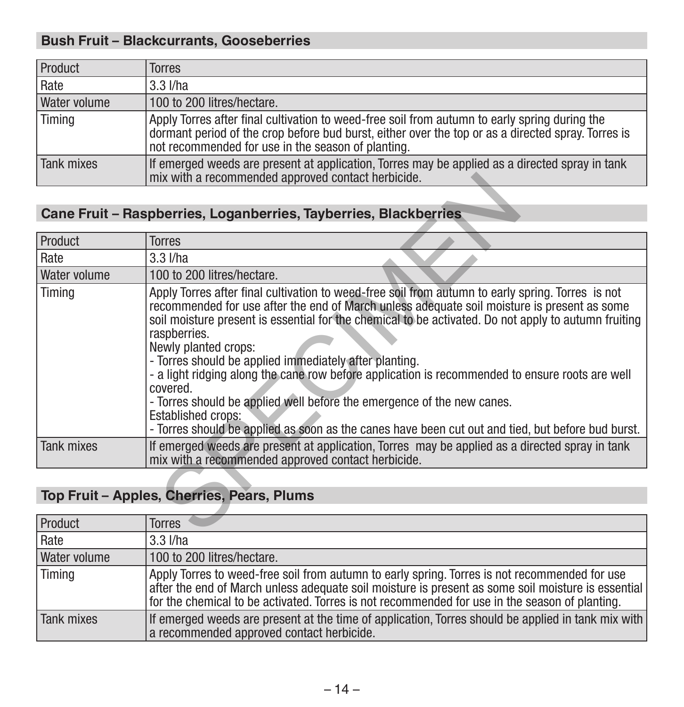# **Bush Fruit – Blackcurrants, Gooseberries**

| Product      | Torres                                                                                                                                                                                                                                                    |
|--------------|-----------------------------------------------------------------------------------------------------------------------------------------------------------------------------------------------------------------------------------------------------------|
| Rate         | 3.3 I/ha                                                                                                                                                                                                                                                  |
| Water volume | 100 to 200 litres/hectare.                                                                                                                                                                                                                                |
| Timing       | Apply Torres after final cultivation to weed-free soil from autumn to early spring during the<br>dormant period of the crop before bud burst, either over the top or as a directed spray. Torres is<br>not recommended for use in the season of planting. |
| Tank mixes   | If emerged weeds are present at application, Torres may be applied as a directed spray in tank<br>mix with a recommended approved contact herbicide.                                                                                                      |

# **Cane Fruit – Raspberries, Loganberries, Tayberries, Blackberries**

|                                            | mix with a recommended approved contact herbicide.                                                                                                                                                                                                                                                                                                                                                                                                                                                                                                                                                                                                                                                                             |  |  |
|--------------------------------------------|--------------------------------------------------------------------------------------------------------------------------------------------------------------------------------------------------------------------------------------------------------------------------------------------------------------------------------------------------------------------------------------------------------------------------------------------------------------------------------------------------------------------------------------------------------------------------------------------------------------------------------------------------------------------------------------------------------------------------------|--|--|
|                                            |                                                                                                                                                                                                                                                                                                                                                                                                                                                                                                                                                                                                                                                                                                                                |  |  |
|                                            | Cane Fruit - Raspberries, Loganberries, Tayberries, Blackberries                                                                                                                                                                                                                                                                                                                                                                                                                                                                                                                                                                                                                                                               |  |  |
|                                            |                                                                                                                                                                                                                                                                                                                                                                                                                                                                                                                                                                                                                                                                                                                                |  |  |
| Product                                    | <b>Torres</b>                                                                                                                                                                                                                                                                                                                                                                                                                                                                                                                                                                                                                                                                                                                  |  |  |
| Rate                                       | $3.3$ $I/ha$                                                                                                                                                                                                                                                                                                                                                                                                                                                                                                                                                                                                                                                                                                                   |  |  |
| Water volume                               | 100 to 200 litres/hectare.                                                                                                                                                                                                                                                                                                                                                                                                                                                                                                                                                                                                                                                                                                     |  |  |
| Timing                                     | Apply Torres after final cultivation to weed-free soil from autumn to early spring. Torres is not<br>recommended for use after the end of March unless adequate soil moisture is present as some<br>soil moisture present is essential for the chemical to be activated. Do not apply to autumn fruiting<br>raspberries.<br>Newly planted crops:<br>- Torres should be applied immediately after planting.<br>- a light ridging along the cane row before application is recommended to ensure roots are well<br>covered.<br>- Torres should be applied well before the emergence of the new canes.<br>Established crops:<br>- Torres should be applied as soon as the canes have been cut out and tied, but before bud burst. |  |  |
| <b>Tank mixes</b>                          | If emerged weeds are present at application, Torres may be applied as a directed spray in tank<br>mix with a recommended approved contact herbicide.                                                                                                                                                                                                                                                                                                                                                                                                                                                                                                                                                                           |  |  |
|                                            |                                                                                                                                                                                                                                                                                                                                                                                                                                                                                                                                                                                                                                                                                                                                |  |  |
| Top Fruit - Apples, Cherries, Pears, Plums |                                                                                                                                                                                                                                                                                                                                                                                                                                                                                                                                                                                                                                                                                                                                |  |  |
|                                            |                                                                                                                                                                                                                                                                                                                                                                                                                                                                                                                                                                                                                                                                                                                                |  |  |
| Product                                    | Torres                                                                                                                                                                                                                                                                                                                                                                                                                                                                                                                                                                                                                                                                                                                         |  |  |
|                                            |                                                                                                                                                                                                                                                                                                                                                                                                                                                                                                                                                                                                                                                                                                                                |  |  |

# **Top Fruit – Apples, Cherries, Pears, Plums**

| Product             | <b>Torres</b>                                                                                                                                                                                                                                                                                         |
|---------------------|-------------------------------------------------------------------------------------------------------------------------------------------------------------------------------------------------------------------------------------------------------------------------------------------------------|
| Rate                | $3.3$ $I/ha$                                                                                                                                                                                                                                                                                          |
| <b>Water volume</b> | 100 to 200 litres/hectare.                                                                                                                                                                                                                                                                            |
| Timing              | Apply Torres to weed-free soil from autumn to early spring. Torres is not recommended for use<br>after the end of March unless adequate soil moisture is present as some soil moisture is essential<br>for the chemical to be activated. Torres is not recommended for use in the season of planting. |
| Tank mixes          | If emerged weeds are present at the time of application, Torres should be applied in tank mix with<br>a recommended approved contact herbicide.                                                                                                                                                       |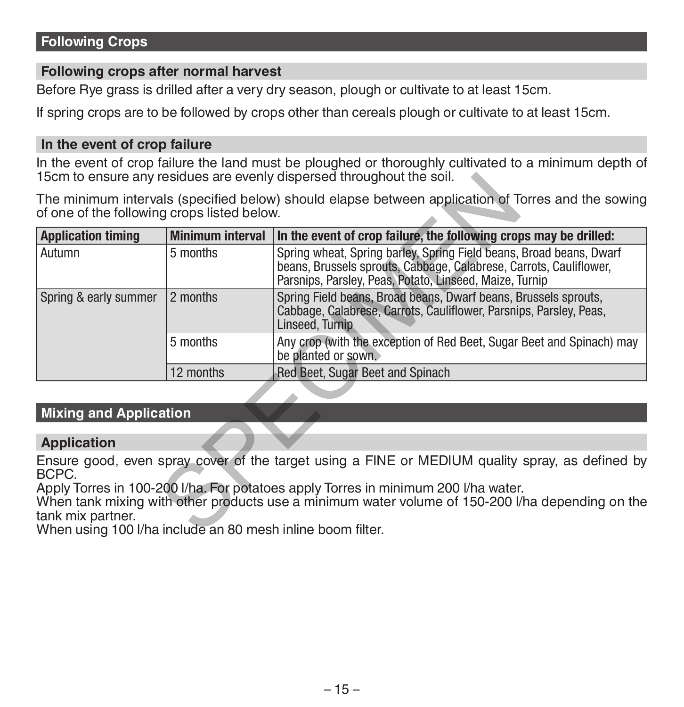### **Following crops after normal harvest**

Before Rye grass is drilled after a very dry season, plough or cultivate to at least 15cm.

If spring crops are to be followed by crops other than cereals plough or cultivate to at least 15cm.

#### **In the event of crop failure**

In the event of crop failure the land must be ploughed or thoroughly cultivated to a minimum depth of 15cm to ensure any residues are evenly dispersed throughout the soil.

|                                                                                                                                                   |                                                                                                                                                                      | 15cm to ensure any residues are evenly dispersed throughout the soil.                                                                                                                                |  |  |
|---------------------------------------------------------------------------------------------------------------------------------------------------|----------------------------------------------------------------------------------------------------------------------------------------------------------------------|------------------------------------------------------------------------------------------------------------------------------------------------------------------------------------------------------|--|--|
| The minimum intervals (specified below) should elapse between application of Torres and the sowing<br>of one of the following crops listed below. |                                                                                                                                                                      |                                                                                                                                                                                                      |  |  |
| <b>Application timing</b>                                                                                                                         | <b>Minimum interval</b>                                                                                                                                              | In the event of crop failure, the following crops may be drilled:                                                                                                                                    |  |  |
| Autumn                                                                                                                                            | 5 months                                                                                                                                                             | Spring wheat, Spring barley, Spring Field beans, Broad beans, Dwarf<br>beans, Brussels sprouts, Cabbage, Calabrese, Carrots, Cauliflower,<br>Parsnips, Parsley, Peas, Potato, Linseed, Maize, Turnip |  |  |
| Spring & early summer                                                                                                                             | 2 months<br>Spring Field beans, Broad beans, Dwarf beans, Brussels sprouts,<br>Cabbage, Calabrese, Carrots, Cauliflower, Parsnips, Parsley, Peas,<br>Linseed, Turnip |                                                                                                                                                                                                      |  |  |
|                                                                                                                                                   | 5 months                                                                                                                                                             | Any crop (with the exception of Red Beet, Sugar Beet and Spinach) may<br>be planted or sown.                                                                                                         |  |  |
|                                                                                                                                                   | 12 months                                                                                                                                                            | Red Beet, Sugar Beet and Spinach                                                                                                                                                                     |  |  |
|                                                                                                                                                   |                                                                                                                                                                      |                                                                                                                                                                                                      |  |  |
| <b>Mixing and Application</b>                                                                                                                     |                                                                                                                                                                      |                                                                                                                                                                                                      |  |  |
|                                                                                                                                                   |                                                                                                                                                                      |                                                                                                                                                                                                      |  |  |
| <b>Application</b>                                                                                                                                |                                                                                                                                                                      |                                                                                                                                                                                                      |  |  |
| BCPC.                                                                                                                                             |                                                                                                                                                                      | Ensure good, even spray cover of the target using a FINE or MEDIUM quality spray, as defined by                                                                                                      |  |  |
| tank mix partner.<br>When using 100 I/ha include an 80 mesh inline boom filter.                                                                   |                                                                                                                                                                      | Apply Torres in 100-200 I/ha. For potatoes apply Torres in minimum 200 I/ha water.<br>When tank mixing with other products use a minimum water volume of 150-200 I/ha depending on the               |  |  |

### **Mixing and Application**

### **Application**

When using 100 l/ha include an 80 mesh inline boom filter.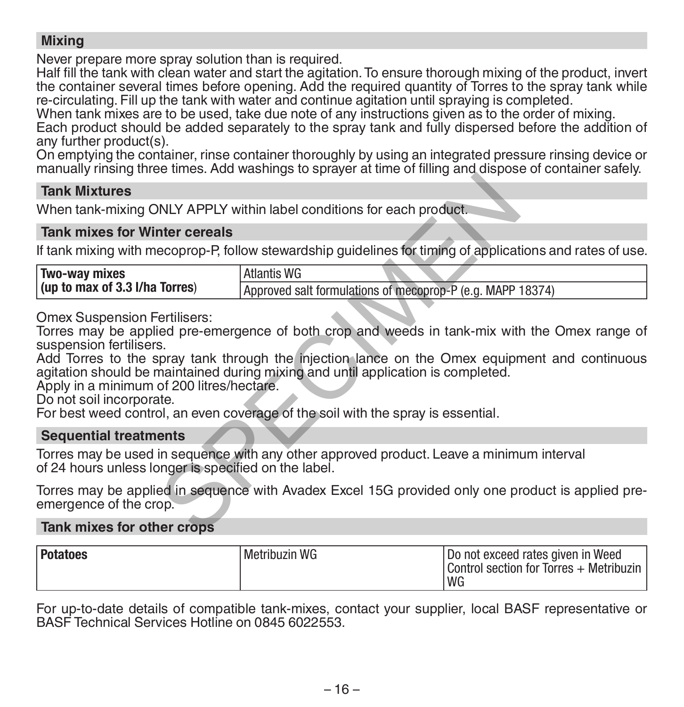### **Mixing**

Never prepare more spray solution than is required.

Half fill the tank with clean water and start the agitation. To ensure thorough mixing of the product, invert the container several times before opening. Add the required quantity of Torres to the spray tank while re-circulating. Fill up the tank with water and continue agitation until spraying is completed.

When tank mixes are to be used, take due note of any instructions given as to the order of mixing.

Each product should be added separately to the spray tank and fully dispersed before the addition of any further product(s).

On emptying the container, rinse container thoroughly by using an integrated pressure rinsing device or manually rinsing three times. Add washings to sprayer at time of filling and dispose of container safely.

#### **Tank Mixtures**

#### **Tank mixes for Winter cereals**

| <b>Tank Mixtures</b>                                                                                                                    |                                                                                                                                                                                                                                                                                                                                                                        |
|-----------------------------------------------------------------------------------------------------------------------------------------|------------------------------------------------------------------------------------------------------------------------------------------------------------------------------------------------------------------------------------------------------------------------------------------------------------------------------------------------------------------------|
|                                                                                                                                         | When tank-mixing ONLY APPLY within label conditions for each product.                                                                                                                                                                                                                                                                                                  |
| <b>Tank mixes for Winter cereals</b>                                                                                                    |                                                                                                                                                                                                                                                                                                                                                                        |
|                                                                                                                                         | If tank mixing with mecoprop-P, follow stewardship guidelines for timing of applications and rates of use.                                                                                                                                                                                                                                                             |
| Two-way mixes<br>(up to max of 3.3 I/ha Torres)                                                                                         | <b>Atlantis WG</b><br>Approved salt formulations of mecoprop-P (e.g. MAPP 18374)                                                                                                                                                                                                                                                                                       |
| <b>Omex Suspension Fertilisers:</b><br>suspension fertilisers.<br>Apply in a minimum of 200 litres/hectare.<br>Do not soil incorporate. | Torres may be applied pre-emergence of both crop and weeds in tank-mix with the Omex range of<br>Add Torres to the spray tank through the injection lance on the Omex equipment and continuous<br>agitation should be maintained during mixing and until application is completed.<br>For best weed control, an even coverage of the soil with the spray is essential. |
| <b>Sequential treatments</b>                                                                                                            |                                                                                                                                                                                                                                                                                                                                                                        |
| of 24 hours unless longer is specified on the label.                                                                                    | Torres may be used in sequence with any other approved product. Leave a minimum interval                                                                                                                                                                                                                                                                               |
| emergence of the crop.                                                                                                                  | Torres may be applied in sequence with Avadex Excel 15G provided only one product is applied pre-                                                                                                                                                                                                                                                                      |
| Tank mixes for other crops                                                                                                              |                                                                                                                                                                                                                                                                                                                                                                        |

### **Sequential treatments**

### **Tank mixes for other crops**

| Potatoes | Metribuzin WG | I Do not exceed rates given in Weed<br>Control section for Torres + Metribuzin |
|----------|---------------|--------------------------------------------------------------------------------|
|          |               | WG                                                                             |

For up-to-date details of compatible tank-mixes, contact your supplier, local BASF representative or BASF Technical Services Hotline on 0845 6022553.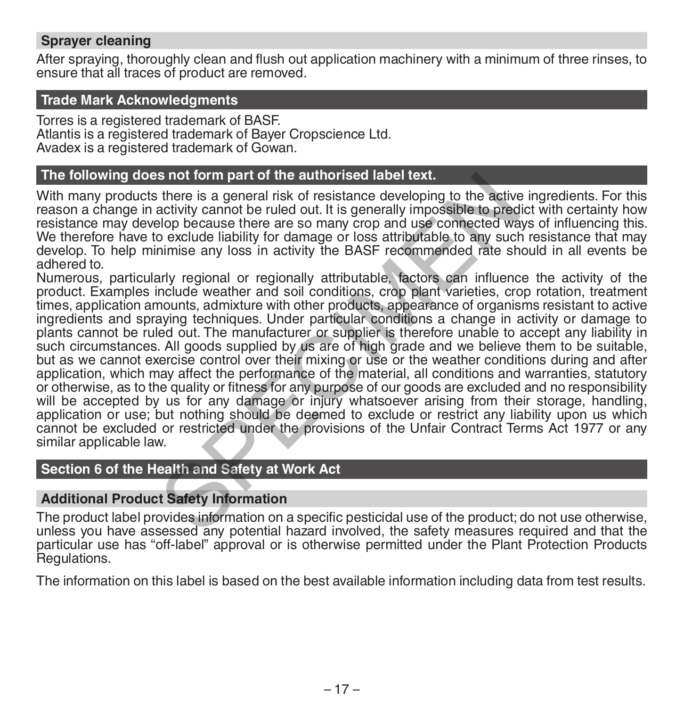### **Sprayer cleaning**

After spraying, thoroughly clean and flush out application machinery with a minimum of three rinses, to ensure that all traces of product are removed.

#### **Trade Mark Acknowledgments**

Torres is a registered trademark of BASF. Atlantis is a registered trademark of Bayer Cropscience Ltd. Avadex is a registered trademark of Gowan.

#### **The following does not form part of the authorised label text.**

With many products there is a general risk of resistance developing to the active ingredients. For this reason a change in activity cannot be ruled out. It is generally impossible to predict with certainty how resistance may develop because there are so many crop and use connected ways of influencing this. We therefore have to exclude liability for damage or loss attributable to any such resistance that may develop. To help minimise any loss in activity the BASF recommended rate should in all events be adhered to.

Numerous, particularly regional or regionally attributable, factors can influence the activity of the product. Examples include weather and soil conditions, crop plant varieties, crop rotation, treatment times, application amounts, admixture with other products, appearance of organisms resistant to active ingredients and spraying techniques. Under particular conditions a change in activity or damage to plants cannot be ruled out. The manufacturer or supplier is therefore unable to accept any liability in such circumstances. All goods supplied by us are of high grade and we believe them to be suitable, but as we cannot exercise control over their mixing or use or the weather conditions during and after application, which may affect the performance of the material, all conditions and warranties, statutory or otherwise, as to the quality or fitness for any purpose of our goods are excluded and no responsibility will be accepted by us for any damage or injury whatsoever arising from their storage, handling, application or use; but nothing should be deemed to exclude or restrict any liability upon us which cannot be excluded or restricted under the provisions of the Unfair Contract Terms Act 1977 or any similar applicable law. Is not form part of the authorised label text.<br>
there is a general risk of resistance developing to the active<br>
activity cannot be ruled out. It is generally impossible to pred<br>
elop because there are so many crop and use

### **Section 6 of the Health and Safety at Work Act**

#### **Additional Product Safety Information**

The product label provides information on a specific pesticidal use of the product; do not use otherwise, unless you have assessed any potential hazard involved, the safety measures required and that the particular use has "off-label" approval or is otherwise permitted under the Plant Protection Products Regulations.

The information on this label is based on the best available information including data from test results.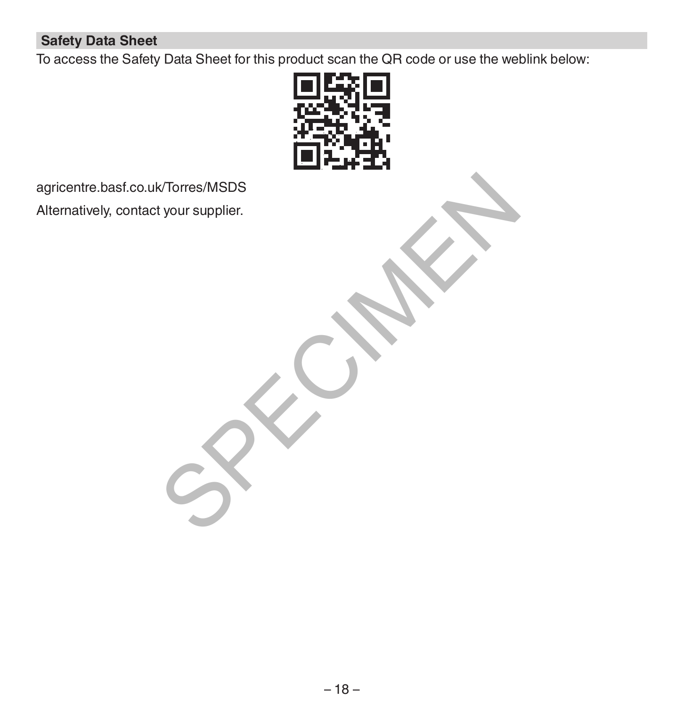### **Safety Data Sheet**

To access the Safety Data Sheet for this product scan the QR code or use the weblink below:



agricentre.basf.co.uk/Torres/MSDS Alternatively, contact your supplier. K/Torres/MSDS<br>tyour supplier.